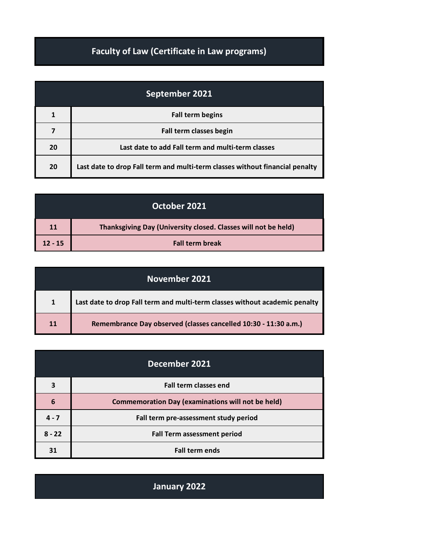## **Faculty of Law (Certificate in Law programs)**

| September 2021 |                                                                              |
|----------------|------------------------------------------------------------------------------|
|                | <b>Fall term begins</b>                                                      |
|                | Fall term classes begin                                                      |
| 20             | Last date to add Fall term and multi-term classes                            |
| 20             | Last date to drop Fall term and multi-term classes without financial penalty |

| October 2021 |                                                                |
|--------------|----------------------------------------------------------------|
| 11           | Thanksgiving Day (University closed. Classes will not be held) |
| $12 - 15$    | <b>Fall term break</b>                                         |

| November 2021 |                                                                             |
|---------------|-----------------------------------------------------------------------------|
| 1             | Last date to drop Fall term and multi-term classes without academic penalty |
| 11            | Remembrance Day observed (classes cancelled 10:30 - 11:30 a.m.)             |

| December 2021 |                                                          |
|---------------|----------------------------------------------------------|
| 3             | <b>Fall term classes end</b>                             |
| 6             | <b>Commemoration Day (examinations will not be held)</b> |
| $4 - 7$       | Fall term pre-assessment study period                    |
| $8 - 22$      | <b>Fall Term assessment period</b>                       |
| 31            | <b>Fall term ends</b>                                    |

**January 2022**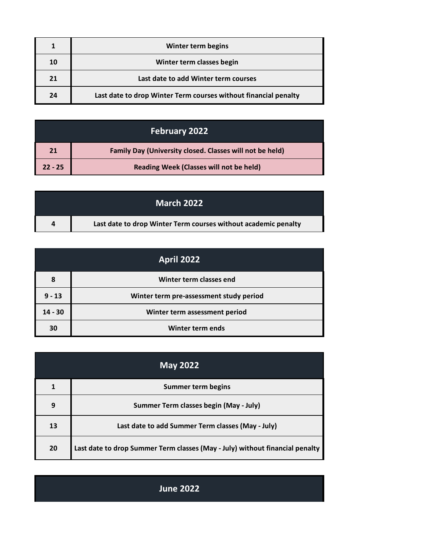|    | Winter term begins                                              |
|----|-----------------------------------------------------------------|
| 10 | Winter term classes begin                                       |
| 21 | Last date to add Winter term courses                            |
| 24 | Last date to drop Winter Term courses without financial penalty |

| <b>February 2022</b> |                                                          |
|----------------------|----------------------------------------------------------|
| 21                   | Family Day (University closed. Classes will not be held) |
| $22 - 25$            | Reading Week (Classes will not be held)                  |

|   | <b>March 2022</b>                                              |
|---|----------------------------------------------------------------|
| 4 | Last date to drop Winter Term courses without academic penalty |

| <b>April 2022</b> |                                         |
|-------------------|-----------------------------------------|
| 8                 | Winter term classes end                 |
| $9 - 13$          | Winter term pre-assessment study period |
| $14 - 30$         | Winter term assessment period           |
| 30                | <b>Winter term ends</b>                 |

| <b>May 2022</b> |                                                                              |
|-----------------|------------------------------------------------------------------------------|
|                 | <b>Summer term begins</b>                                                    |
| 9               | Summer Term classes begin (May - July)                                       |
| 13              | Last date to add Summer Term classes (May - July)                            |
| 20              | Last date to drop Summer Term classes (May - July) without financial penalty |

**June 2022**